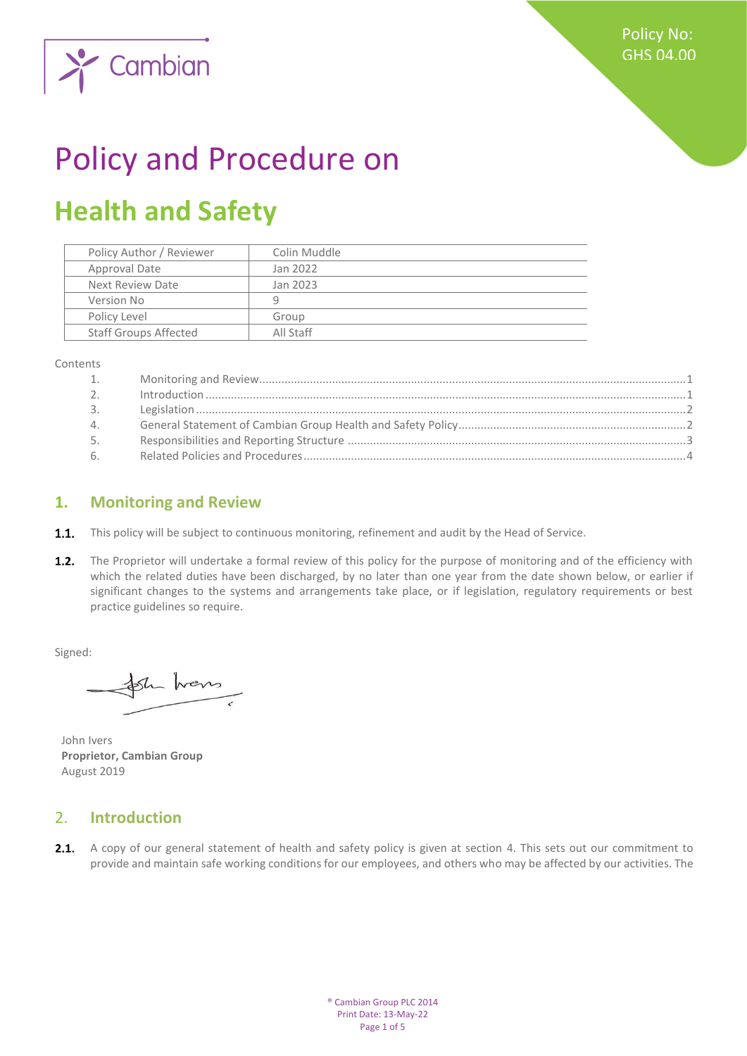

# Policy and Procedure on

# **Health and Safety**

| Policy Author / Reviewer     | Colin Muddle |
|------------------------------|--------------|
| Approval Date                | Jan 2022     |
| Next Review Date             | Jan 2023     |
| Version No                   | q            |
| Policy Level                 | Group        |
| <b>Staff Groups Affected</b> | All Staff    |
|                              |              |

Contents

| 1.             |  |
|----------------|--|
| 2 <sub>1</sub> |  |
| 3.             |  |
| 4.             |  |
| 5.             |  |
| 6.             |  |

### <span id="page-0-0"></span>**1. Monitoring and Review**

- **1.1.** This policy will be subject to continuous monitoring, refinement and audit by the Head of Service.
- $1.2.$ The Proprietor will undertake a formal review of this policy for the purpose of monitoring and of the efficiency with which the related duties have been discharged, by no later than one year from the date shown below, or earlier if significant changes to the systems and arrangements take place, or if legislation, regulatory requirements or best practice guidelines so require.

Signed:

Sh hans

John Ivers **Proprietor, Cambian Group** August 2019

## <span id="page-0-1"></span>2. **Introduction**

2.1. A copy of our general statement of health and safety policy is given at section 4. This sets out our commitment to provide and maintain safe working conditions for our employees, and others who may be affected by our activities. The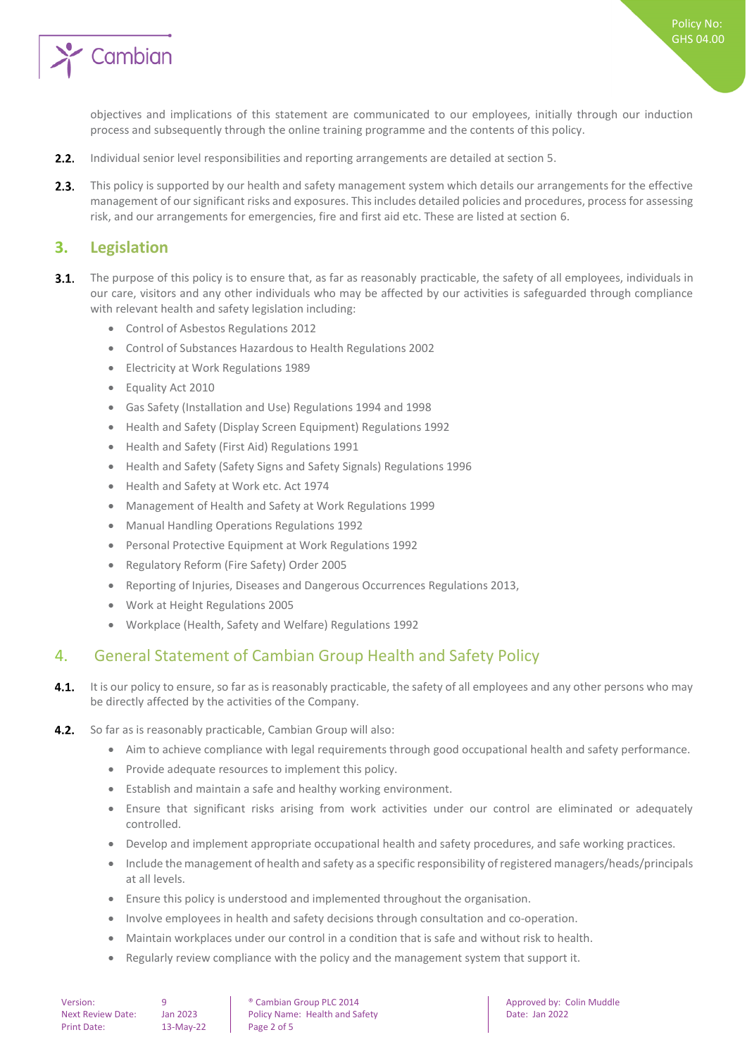

Policy No: GHS 04.00

objectives and implications of this statement are communicated to our employees, initially through our induction process and subsequently through the online training programme and the contents of this policy.

- $2.2.$ Individual senior level responsibilities and reporting arrangements are detailed at section 5.
- $2.3.$ This policy is supported by our health and safety management system which details our arrangements for the effective management of our significant risks and exposures. This includes detailed policies and procedures, process for assessing risk, and our arrangements for emergencies, fire and first aid etc. These are listed at section 6.

#### <span id="page-1-0"></span>**3. Legislation**

- $3.1.$ The purpose of this policy is to ensure that, as far as reasonably practicable, the safety of all employees, individuals in our care, visitors and any other individuals who may be affected by our activities is safeguarded through compliance with relevant health and safety legislation including:
	- Control of Asbestos Regulations 2012
	- Control of Substances Hazardous to Health Regulations 2002
	- Electricity at Work Regulations 1989
	- Equality Act 2010
	- Gas Safety (Installation and Use) Regulations 1994 and 1998
	- Health and Safety (Display Screen Equipment) Regulations 1992
	- Health and Safety (First Aid) Regulations 1991
	- Health and Safety (Safety Signs and Safety Signals) Regulations 1996
	- Health and Safety at Work etc. Act 1974
	- Management of Health and Safety at Work Regulations 1999
	- Manual Handling Operations Regulations 1992
	- Personal Protective Equipment at Work Regulations 1992
	- Regulatory Reform (Fire Safety) Order 2005
	- Reporting of Injuries, Diseases and Dangerous Occurrences Regulations 2013,
	- Work at Height Regulations 2005
	- Workplace (Health, Safety and Welfare) Regulations 1992

#### <span id="page-1-1"></span>4. General Statement of Cambian Group Health and Safety Policy

- $4.1.$ It is our policy to ensure, so far as is reasonably practicable, the safety of all employees and any other persons who may be directly affected by the activities of the Company.
- $4.2.$ So far as is reasonably practicable, Cambian Group will also:
	- Aim to achieve compliance with legal requirements through good occupational health and safety performance.
	- Provide adequate resources to implement this policy.
	- Establish and maintain a safe and healthy working environment.
	- Ensure that significant risks arising from work activities under our control are eliminated or adequately controlled.
	- Develop and implement appropriate occupational health and safety procedures, and safe working practices.
	- Include the management of health and safety as a specific responsibility of registered managers/heads/principals at all levels.
	- Ensure this policy is understood and implemented throughout the organisation.
	- Involve employees in health and safety decisions through consultation and co-operation.
	- Maintain workplaces under our control in a condition that is safe and without risk to health.
	- Regularly review compliance with the policy and the management system that support it.

Version: 9 9 **9** Cambian Group PLC 2014 **Approved by:** Colin Muddle Next Review Date: Jan 2023 | Policy Name: Health and Safety | Date: Jan 2022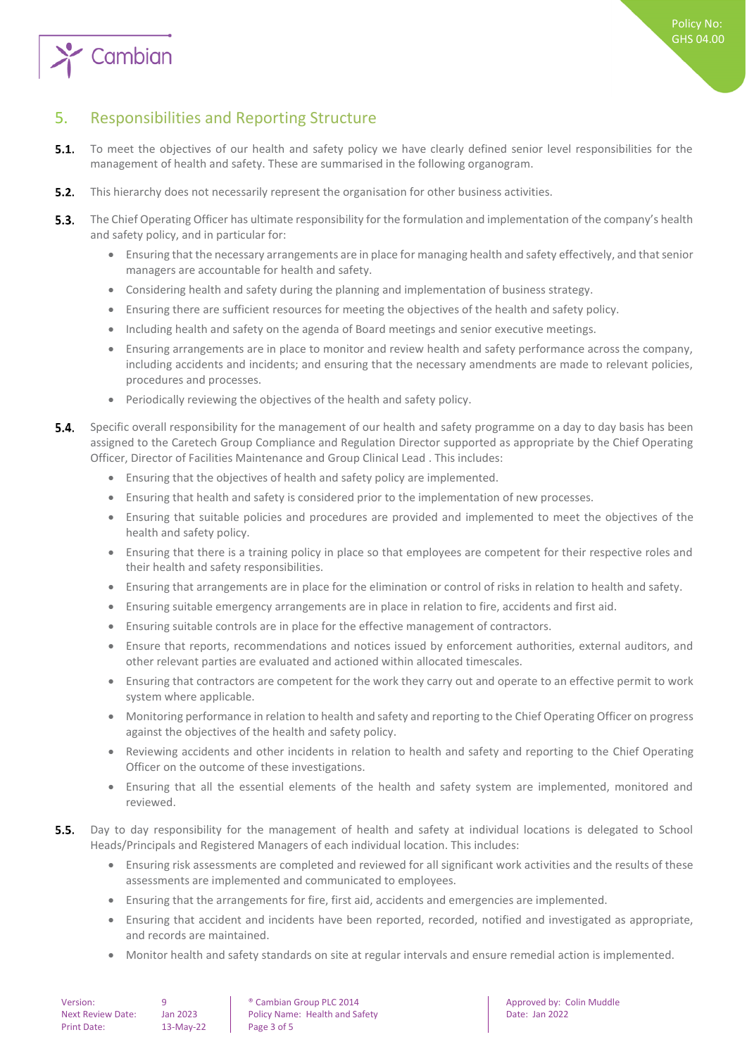

# <span id="page-2-0"></span>5. Responsibilities and Reporting Structure

- $5.1.$ To meet the objectives of our health and safety policy we have clearly defined senior level responsibilities for the management of health and safety. These are summarised in the following organogram.
- $5.2.$ This hierarchy does not necessarily represent the organisation for other business activities.
- $5.3.$ The Chief Operating Officer has ultimate responsibility for the formulation and implementation of the company's health and safety policy, and in particular for:
	- Ensuring that the necessary arrangements are in place for managing health and safety effectively, and that senior managers are accountable for health and safety.
	- Considering health and safety during the planning and implementation of business strategy.
	- Ensuring there are sufficient resources for meeting the objectives of the health and safety policy.
	- Including health and safety on the agenda of Board meetings and senior executive meetings.
	- Ensuring arrangements are in place to monitor and review health and safety performance across the company, including accidents and incidents; and ensuring that the necessary amendments are made to relevant policies, procedures and processes.
	- Periodically reviewing the objectives of the health and safety policy.
- 54 Specific overall responsibility for the management of our health and safety programme on a day to day basis has been assigned to the Caretech Group Compliance and Regulation Director supported as appropriate by the Chief Operating Officer, Director of Facilities Maintenance and Group Clinical Lead . This includes:
	- Ensuring that the objectives of health and safety policy are implemented.
	- Ensuring that health and safety is considered prior to the implementation of new processes.
	- Ensuring that suitable policies and procedures are provided and implemented to meet the objectives of the health and safety policy.
	- Ensuring that there is a training policy in place so that employees are competent for their respective roles and their health and safety responsibilities.
	- Ensuring that arrangements are in place for the elimination or control of risks in relation to health and safety.
	- Ensuring suitable emergency arrangements are in place in relation to fire, accidents and first aid.
	- Ensuring suitable controls are in place for the effective management of contractors.
	- Ensure that reports, recommendations and notices issued by enforcement authorities, external auditors, and other relevant parties are evaluated and actioned within allocated timescales.
	- Ensuring that contractors are competent for the work they carry out and operate to an effective permit to work system where applicable.
	- Monitoring performance in relation to health and safety and reporting to the Chief Operating Officer on progress against the objectives of the health and safety policy.
	- Reviewing accidents and other incidents in relation to health and safety and reporting to the Chief Operating Officer on the outcome of these investigations.
	- Ensuring that all the essential elements of the health and safety system are implemented, monitored and reviewed.
- $5.5.$ Day to day responsibility for the management of health and safety at individual locations is delegated to School Heads/Principals and Registered Managers of each individual location. This includes:
	- Ensuring risk assessments are completed and reviewed for all significant work activities and the results of these assessments are implemented and communicated to employees.
	- Ensuring that the arrangements for fire, first aid, accidents and emergencies are implemented.
	- Ensuring that accident and incidents have been reported, recorded, notified and investigated as appropriate, and records are maintained.
	- Monitor health and safety standards on site at regular intervals and ensure remedial action is implemented.

| Version:                 | q   |
|--------------------------|-----|
| <b>Next Review Date:</b> | Jar |
| <b>Print Date:</b>       | 13  |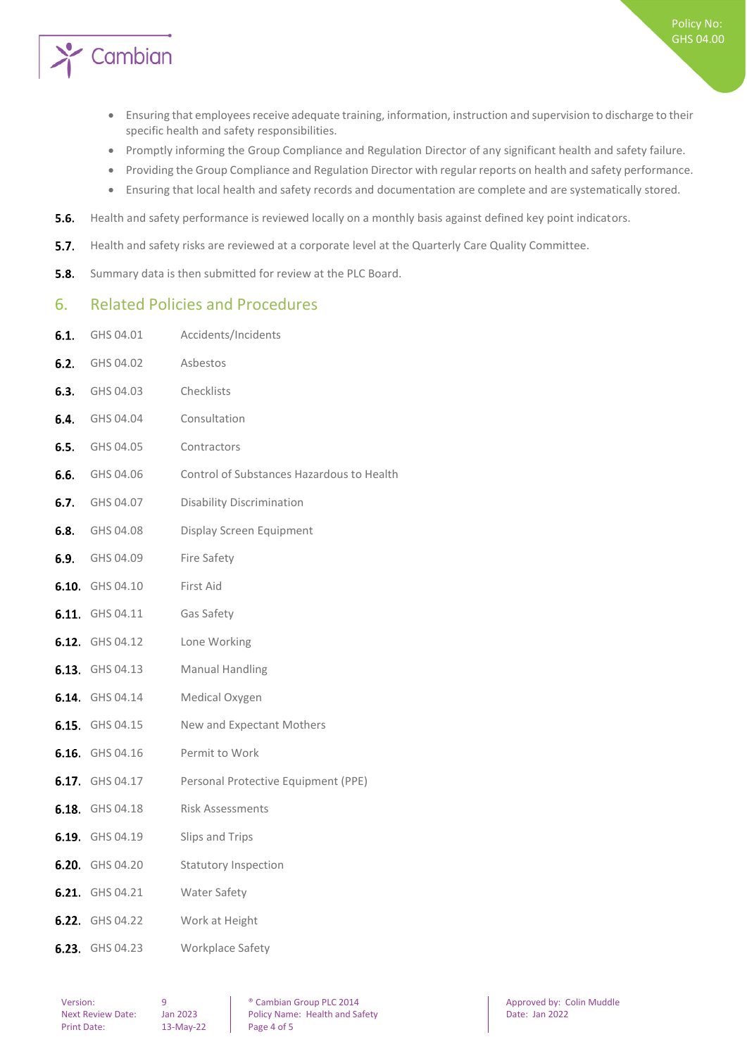

- Ensuring that employees receive adequate training, information, instruction and supervision to discharge to their specific health and safety responsibilities.
- Promptly informing the Group Compliance and Regulation Director of any significant health and safety failure.
- Providing the Group Compliance and Regulation Director with regular reports on health and safety performance.
- Ensuring that local health and safety records and documentation are complete and are systematically stored.
- $5.6.$ Health and safety performance is reviewed locally on a monthly basis against defined key point indicators.
- $5.7.$ Health and safety risks are reviewed at a corporate level at the Quarterly Care Quality Committee.
- <span id="page-3-0"></span> $5.8.$ Summary data is then submitted for review at the PLC Board.

#### 6. Related Policies and Procedures

6.1. GHS 04.01 Accidents/Incidents

| <b>6.2.</b> GHS 04.02  | Asbestos                                  |
|------------------------|-------------------------------------------|
| <b>6.3.</b> GHS 04.03  | Checklists                                |
| <b>6.4.</b> GHS 04.04  | Consultation                              |
| <b>6.5.</b> GHS 04.05  | Contractors                               |
| <b>6.6.</b> GHS 04.06  | Control of Substances Hazardous to Health |
| <b>6.7.</b> GHS 04.07  | <b>Disability Discrimination</b>          |
| <b>6.8.</b> GHS 04.08  | Display Screen Equipment                  |
| <b>6.9.</b> GHS 04.09  | Fire Safety                               |
| 6.10. GHS 04.10        | First Aid                                 |
| 6.11 GHS 04.11         | Gas Safety                                |
| <b>6.12.</b> GHS 04.12 | Lone Working                              |
| 6.13. GHS 04.13        | <b>Manual Handling</b>                    |
| <b>6.14.</b> GHS 04.14 | Medical Oxygen                            |
| <b>6.15.</b> GHS 04.15 | New and Expectant Mothers                 |
| <b>6.16.</b> GHS 04.16 | Permit to Work                            |
| <b>6.17.</b> GHS 04.17 | Personal Protective Equipment (PPE)       |
| <b>6.18.</b> GHS 04.18 | <b>Risk Assessments</b>                   |
| <b>6.19.</b> GHS 04.19 | Slips and Trips                           |
| <b>6.20.</b> GHS 04.20 | <b>Statutory Inspection</b>               |
| <b>6.21.</b> GHS 04.21 | Water Safety                              |
| 6.22. GHS 04.22        | Work at Height                            |
| 6.23. GHS 04.23        | Workplace Safety                          |